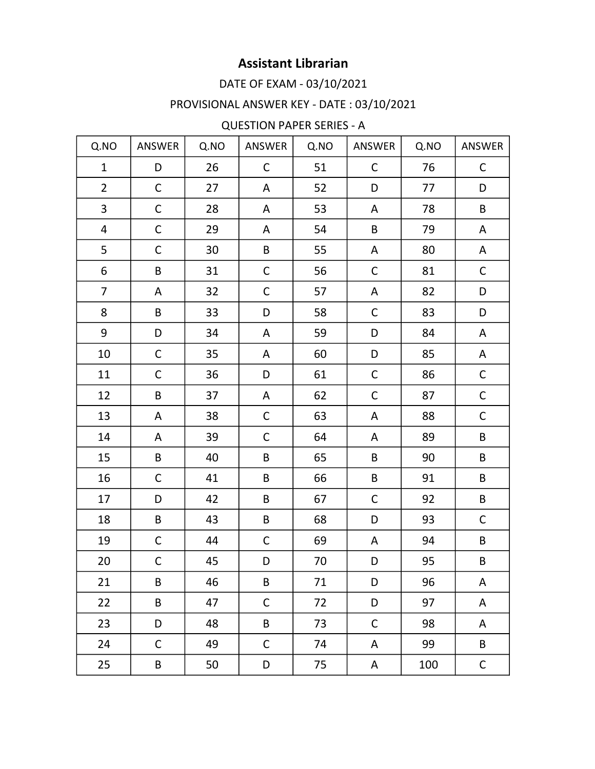### DATE OF EXAM - 03/10/2021

# PROVISIONAL ANSWER KEY - DATE : 03/10/2021

#### **QUESTION PAPER SERIES - A**

| Q.NO                     | ANSWER       | Q.NO | ANSWER       | Q.NO | ANSWER      | Q.NO | ANSWER      |
|--------------------------|--------------|------|--------------|------|-------------|------|-------------|
| $\mathbf{1}$             | D            | 26   | $\mathsf C$  | 51   | $\mathsf C$ | 76   | C           |
| $\overline{2}$           | $\mathsf C$  | 27   | A            | 52   | D           | 77   | D           |
| 3                        | C            | 28   | A            | 53   | A           | 78   | B           |
| $\overline{\mathcal{A}}$ | $\mathsf C$  | 29   | A            | 54   | B           | 79   | A           |
| 5                        | C            | 30   | B            | 55   | A           | 80   | A           |
| 6                        | B            | 31   | $\mathsf C$  | 56   | $\mathsf C$ | 81   | $\mathsf C$ |
| $\overline{7}$           | A            | 32   | $\mathsf{C}$ | 57   | A           | 82   | D           |
| 8                        | B            | 33   | D            | 58   | $\mathsf C$ | 83   | D           |
| 9                        | D            | 34   | A            | 59   | D           | 84   | A           |
| 10                       | C            | 35   | A            | 60   | D           | 85   | Α           |
| 11                       | С            | 36   | D            | 61   | $\mathsf C$ | 86   | $\mathsf C$ |
| 12                       | B            | 37   | A            | 62   | $\mathsf C$ | 87   | $\mathsf C$ |
| 13                       | A            | 38   | $\mathsf C$  | 63   | A           | 88   | $\mathsf C$ |
| 14                       | A            | 39   | $\mathsf C$  | 64   | A           | 89   | B           |
| 15                       | B            | 40   | B            | 65   | B           | 90   | B           |
| 16                       | $\mathsf{C}$ | 41   | B            | 66   | B           | 91   | B           |
| 17                       | D            | 42   | B            | 67   | $\mathsf C$ | 92   | $\sf B$     |
| 18                       | B            | 43   | B            | 68   | D           | 93   | $\mathsf C$ |
| 19                       | C            | 44   | $\mathsf C$  | 69   | A           | 94   | B           |
| 20                       | C            | 45   | D            | 70   | D           | 95   | B           |
| 21                       | $\sf B$      | 46   | B            | 71   | D           | 96   | A           |
| 22                       | B            | 47   | $\mathsf C$  | 72   | D           | 97   | А           |
| 23                       | D            | 48   | B            | 73   | $\mathsf C$ | 98   | A           |
| 24                       | C            | 49   | $\mathsf C$  | 74   | A           | 99   | B           |
| 25                       | B            | 50   | D            | 75   | A           | 100  | $\mathsf C$ |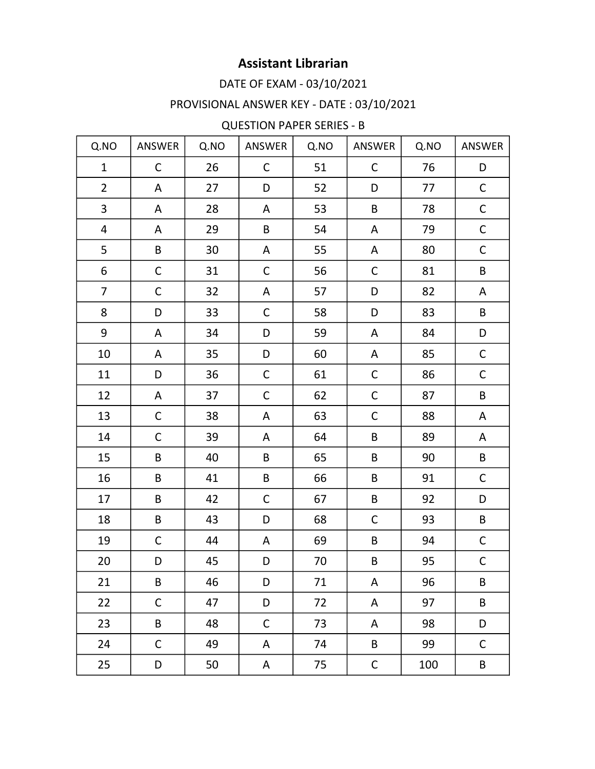### DATE OF EXAM - 03/10/2021

# PROVISIONAL ANSWER KEY - DATE : 03/10/2021

#### **QUESTION PAPER SERIES - B**

| Q.NO           | ANSWER       | Q.NO | ANSWER       | Q.NO | ANSWER       | Q.NO | ANSWER      |
|----------------|--------------|------|--------------|------|--------------|------|-------------|
| $\mathbf{1}$   | $\mathsf{C}$ | 26   | $\mathsf{C}$ | 51   | $\mathsf{C}$ | 76   | D           |
| $\overline{2}$ | A            | 27   | D            | 52   | D            | 77   | $\mathsf C$ |
| 3              | A            | 28   | A            | 53   | B            | 78   | $\mathsf C$ |
| 4              | A            | 29   | B            | 54   | A            | 79   | $\mathsf C$ |
| 5              | B            | 30   | A            | 55   | A            | 80   | $\mathsf C$ |
| 6              | C            | 31   | $\mathsf C$  | 56   | C            | 81   | B           |
| $\overline{7}$ | $\mathsf C$  | 32   | A            | 57   | D            | 82   | A           |
| 8              | D            | 33   | $\mathsf{C}$ | 58   | D            | 83   | B           |
| 9              | A            | 34   | D            | 59   | A            | 84   | D           |
| 10             | A            | 35   | D            | 60   | A            | 85   | $\mathsf C$ |
| 11             | D            | 36   | $\mathsf C$  | 61   | C            | 86   | $\mathsf C$ |
| 12             | A            | 37   | $\mathsf{C}$ | 62   | $\mathsf C$  | 87   | B           |
| 13             | C            | 38   | A            | 63   | $\mathsf C$  | 88   | A           |
| 14             | $\mathsf C$  | 39   | A            | 64   | B            | 89   | A           |
| 15             | B            | 40   | B            | 65   | B            | 90   | $\sf B$     |
| 16             | B            | 41   | B            | 66   | B            | 91   | $\mathsf C$ |
| 17             | B            | 42   | $\mathsf C$  | 67   | B            | 92   | D           |
| 18             | B            | 43   | D            | 68   | $\mathsf{C}$ | 93   | B           |
| 19             | $\mathsf C$  | 44   | A            | 69   | B            | 94   | $\mathsf C$ |
| 20             | D            | 45   | D            | 70   | B            | 95   | $\mathsf C$ |
| 21             | $\sf B$      | 46   | D            | 71   | A            | 96   | B           |
| 22             | C            | 47   | D            | 72   | Α            | 97   | B           |
| 23             | B            | 48   | $\mathsf C$  | 73   | A            | 98   | D           |
| 24             | $\mathsf C$  | 49   | A            | 74   | B            | 99   | $\mathsf C$ |
| 25             | D            | 50   | A            | 75   | $\mathsf C$  | 100  | B           |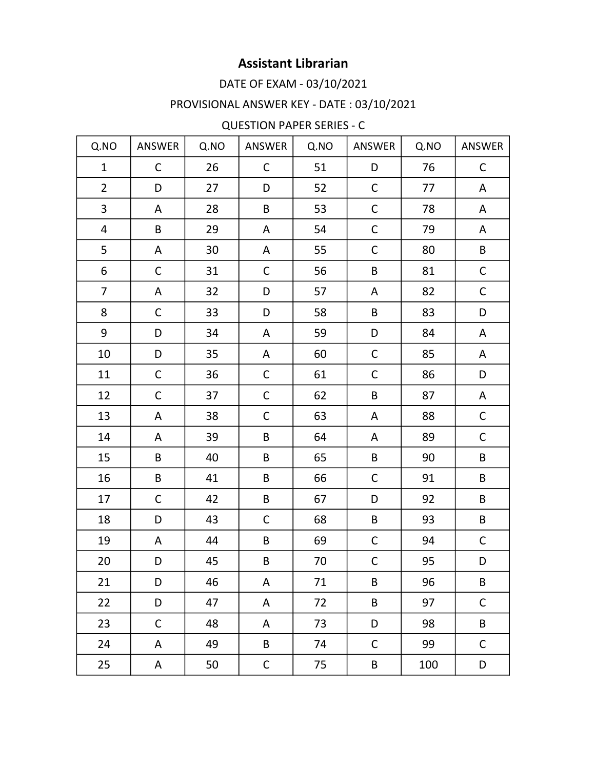### DATE OF EXAM - 03/10/2021

# PROVISIONAL ANSWER KEY - DATE : 03/10/2021

#### **QUESTION PAPER SERIES - C**

| Q.NO           | ANSWER      | Q.NO | ANSWER       | Q.NO | ANSWER       | Q.NO | ANSWER      |
|----------------|-------------|------|--------------|------|--------------|------|-------------|
| $\mathbf{1}$   | C           | 26   | $\mathsf{C}$ | 51   | D            | 76   | C           |
| $\overline{2}$ | D           | 27   | D            | 52   | $\mathsf C$  | 77   | A           |
| 3              | A           | 28   | B            | 53   | $\mathsf C$  | 78   | A           |
| 4              | B           | 29   | A            | 54   | $\mathsf C$  | 79   | A           |
| 5              | A           | 30   | A            | 55   | $\mathsf C$  | 80   | B           |
| 6              | С           | 31   | $\mathsf C$  | 56   | B            | 81   | $\mathsf C$ |
| $\overline{7}$ | A           | 32   | D            | 57   | A            | 82   | $\mathsf C$ |
| 8              | $\mathsf C$ | 33   | D            | 58   | B            | 83   | D           |
| 9              | D           | 34   | A            | 59   | D            | 84   | A           |
| 10             | D           | 35   | A            | 60   | $\mathsf C$  | 85   | A           |
| 11             | С           | 36   | $\mathsf C$  | 61   | $\mathsf{C}$ | 86   | D           |
| 12             | C           | 37   | $\mathsf C$  | 62   | B            | 87   | A           |
| 13             | A           | 38   | $\mathsf C$  | 63   | A            | 88   | $\mathsf C$ |
| 14             | A           | 39   | B            | 64   | A            | 89   | $\mathsf C$ |
| 15             | B           | 40   | B            | 65   | B            | 90   | B           |
| 16             | B           | 41   | B            | 66   | $\mathsf C$  | 91   | $\sf B$     |
| 17             | $\mathsf C$ | 42   | B            | 67   | D            | 92   | B           |
| 18             | D           | 43   | $\mathsf{C}$ | 68   | B            | 93   | B           |
| 19             | A           | 44   | B            | 69   | C            | 94   | C           |
| 20             | D           | 45   | B            | 70   | $\mathsf C$  | 95   | D           |
| 21             | D           | 46   | A            | 71   | B            | 96   | $\sf B$     |
| 22             | D           | 47   | A            | 72   | B            | 97   | $\mathsf C$ |
| 23             | $\mathsf C$ | 48   | A            | 73   | D            | 98   | B           |
| 24             | A           | 49   | B            | 74   | $\mathsf C$  | 99   | $\mathsf C$ |
| 25             | A           | 50   | $\mathsf C$  | 75   | B            | 100  | D           |